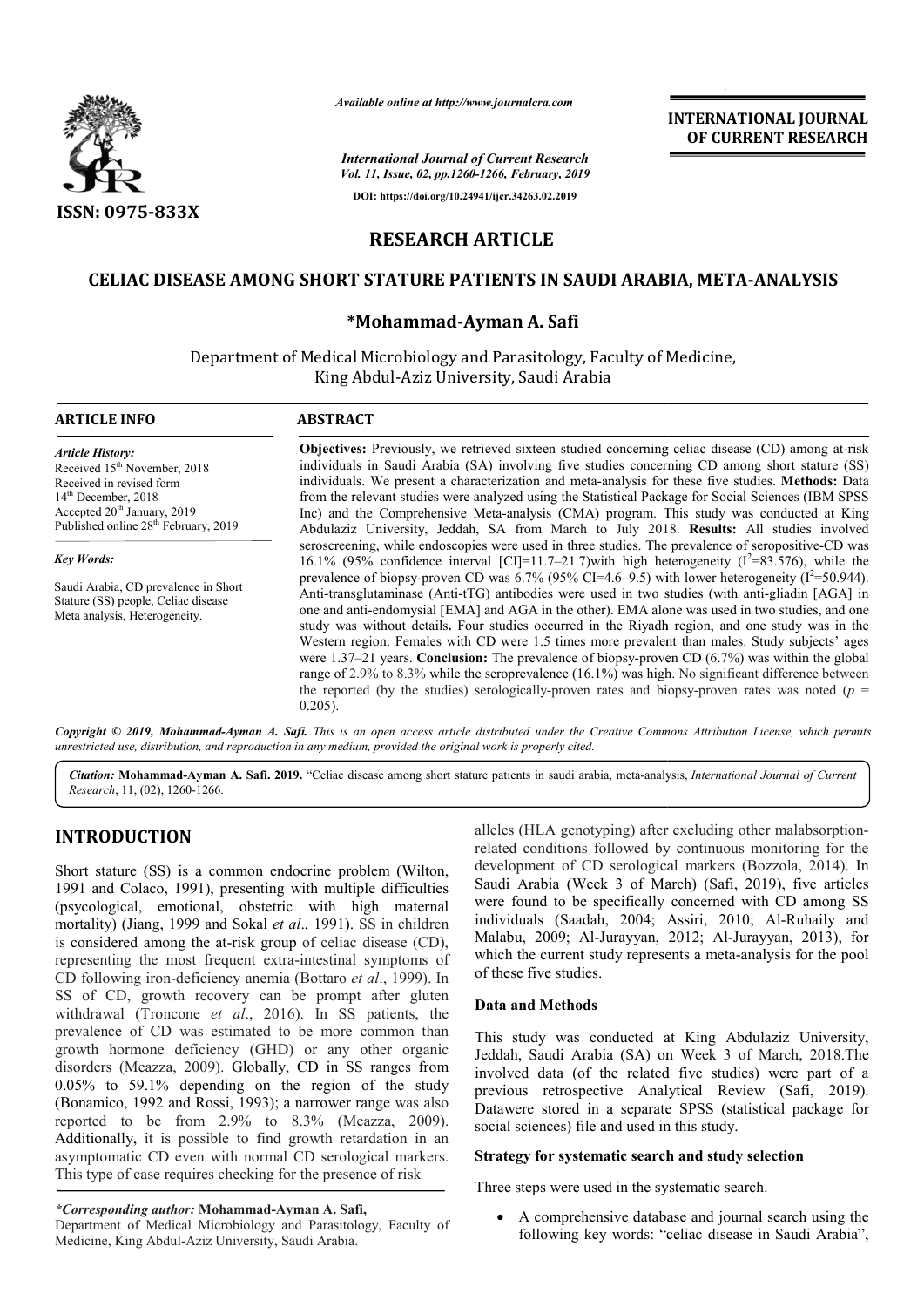

*Available online at http://www.journalcra.com*

# **RESEARCH ARTICLE**

# **CELIAC DISEASE AMONG SHORT STATURE PATIENTS IN SAUDI ARABIA, META SHORT STATURE PATIENTS META-ANALYSIS**

# **\*Mohammad-Ayman A. Safi**

|                                                                                                                                                                                                                                                                                                                                                                                                                                                                                 |                 | <b>INTERNATIONAL JOURNAL</b><br>OF CURRENT RESEARCH                                                                                                                                                                                                                                                                                                                                                                                                                                                                                                                                                                                                                                                                                                                                                                                   |
|---------------------------------------------------------------------------------------------------------------------------------------------------------------------------------------------------------------------------------------------------------------------------------------------------------------------------------------------------------------------------------------------------------------------------------------------------------------------------------|-----------------|---------------------------------------------------------------------------------------------------------------------------------------------------------------------------------------------------------------------------------------------------------------------------------------------------------------------------------------------------------------------------------------------------------------------------------------------------------------------------------------------------------------------------------------------------------------------------------------------------------------------------------------------------------------------------------------------------------------------------------------------------------------------------------------------------------------------------------------|
|                                                                                                                                                                                                                                                                                                                                                                                                                                                                                 |                 | <b>International Journal of Current Research</b><br>Vol. 11, Issue, 02, pp.1260-1266, February, 2019                                                                                                                                                                                                                                                                                                                                                                                                                                                                                                                                                                                                                                                                                                                                  |
|                                                                                                                                                                                                                                                                                                                                                                                                                                                                                 |                 | DOI: https://doi.org/10.24941/ijcr.34263.02.2019                                                                                                                                                                                                                                                                                                                                                                                                                                                                                                                                                                                                                                                                                                                                                                                      |
| ISSN: 0975-833X                                                                                                                                                                                                                                                                                                                                                                                                                                                                 |                 |                                                                                                                                                                                                                                                                                                                                                                                                                                                                                                                                                                                                                                                                                                                                                                                                                                       |
|                                                                                                                                                                                                                                                                                                                                                                                                                                                                                 |                 | <b>RESEARCH ARTICLE</b>                                                                                                                                                                                                                                                                                                                                                                                                                                                                                                                                                                                                                                                                                                                                                                                                               |
|                                                                                                                                                                                                                                                                                                                                                                                                                                                                                 |                 | CELIAC DISEASE AMONG SHORT STATURE PATIENTS IN SAUDI ARABIA, META-ANALYSIS                                                                                                                                                                                                                                                                                                                                                                                                                                                                                                                                                                                                                                                                                                                                                            |
|                                                                                                                                                                                                                                                                                                                                                                                                                                                                                 |                 | *Mohammad-Ayman A. Safi                                                                                                                                                                                                                                                                                                                                                                                                                                                                                                                                                                                                                                                                                                                                                                                                               |
|                                                                                                                                                                                                                                                                                                                                                                                                                                                                                 |                 | Department of Medical Microbiology and Parasitology, Faculty of Medicine,<br>King Abdul-Aziz University, Saudi Arabia                                                                                                                                                                                                                                                                                                                                                                                                                                                                                                                                                                                                                                                                                                                 |
| <b>ARTICLE INFO</b>                                                                                                                                                                                                                                                                                                                                                                                                                                                             | <b>ABSTRACT</b> |                                                                                                                                                                                                                                                                                                                                                                                                                                                                                                                                                                                                                                                                                                                                                                                                                                       |
| <b>Article History:</b><br>Received 15 <sup>th</sup> November, 2018<br>Received in revised form<br>14 <sup>th</sup> December, 2018<br>Accepted 20 <sup>th</sup> January, 2019<br>Published online 28 <sup>th</sup> February, 2019                                                                                                                                                                                                                                               |                 | Objectives: Previously, we retrieved sixteen studied concerning celiac disease (CD) among at-risk<br>individuals in Saudi Arabia (SA) involving five studies concerning CD among short stature (SS)<br>individuals. We present a characterization and meta-analysis for these five studies. Methods: Data<br>from the relevant studies were analyzed using the Statistical Package for Social Sciences (IBM SPSS<br>Inc) and the Comprehensive Meta-analysis (CMA) program. This study was conducted at King<br>Abdulaziz University, Jeddah, SA from March to July 2018. Results: All studies involved                                                                                                                                                                                                                               |
| <b>Key Words:</b>                                                                                                                                                                                                                                                                                                                                                                                                                                                               |                 | seroscreening, while endoscopies were used in three studies. The prevalence of seropositive-CD was<br>16.1% (95% confidence interval [CI]=11.7–21.7) with high heterogeneity ( $I^2$ =83.576), while the                                                                                                                                                                                                                                                                                                                                                                                                                                                                                                                                                                                                                              |
| Saudi Arabia, CD prevalence in Short<br>Stature (SS) people, Celiac disease<br>Meta analysis, Heterogeneity.                                                                                                                                                                                                                                                                                                                                                                    | $0.205$ ).      | prevalence of biopsy-proven CD was $6.7\%$ (95% CI=4.6–9.5) with lower heterogeneity ( $I^2$ =50.944).<br>Anti-transglutaminase (Anti-tTG) antibodies were used in two studies (with anti-gliadin [AGA] in<br>one and anti-endomysial [EMA] and AGA in the other). EMA alone was used in two studies, and one<br>study was without details. Four studies occurred in the Riyadh region, and one study was in the<br>Western region. Females with CD were 1.5 times more prevalent than males. Study subjects' ages<br>were $1.37-21$ years. Conclusion: The prevalence of biopsy-proven CD $(6.7%)$ was within the global<br>range of 2.9% to 8.3% while the seroprevalence (16.1%) was high. No significant difference between<br>the reported (by the studies) serologically-proven rates and biopsy-proven rates was noted ( $p =$ |
| unrestricted use, distribution, and reproduction in any medium, provided the original work is properly cited.                                                                                                                                                                                                                                                                                                                                                                   |                 | Copyright © 2019, Mohammad-Ayman A. Safi. This is an open access article distributed under the Creative Commons Attribution License, which permits                                                                                                                                                                                                                                                                                                                                                                                                                                                                                                                                                                                                                                                                                    |
| Research, 11, (02), 1260-1266.                                                                                                                                                                                                                                                                                                                                                                                                                                                  |                 | Citation: Mohammad-Ayman A. Safi. 2019. "Celiac disease among short stature patients in saudi arabia, meta-analysis, International Journal of Current                                                                                                                                                                                                                                                                                                                                                                                                                                                                                                                                                                                                                                                                                 |
| <b>INTRODUCTION</b>                                                                                                                                                                                                                                                                                                                                                                                                                                                             |                 | alleles (HLA genotyping) after excluding other malabsorption-<br>related conditions followed by continuous monitoring for the<br>development of CD serological markers (Bozzola, 2014). In                                                                                                                                                                                                                                                                                                                                                                                                                                                                                                                                                                                                                                            |
| Short stature (SS) is a common endocrine problem (Wilton,<br>1991 and Colaco, 1991), presenting with multiple difficulties<br>(psycological, emotional, obstetric with high maternal<br>mortality) (Jiang, 1999 and Sokal et al., 1991). SS in children<br>is considered among the at-risk group of celiac disease (CD),<br>representing the most frequent extra-intestinal symptoms of<br>CD following iron-deficiency anemia (Bottaro et al., 1999). In                       |                 | Saudi Arabia (Week 3 of March) (Safi, 2019), five articles<br>were found to be specifically concerned with CD among SS<br>individuals (Saadah, 2004; Assiri, 2010; Al-Ruhaily and<br>Malabu, 2009; Al-Jurayyan, 2012; Al-Jurayyan, 2013), for<br>which the current study represents a meta-analysis for the pool<br>of these five studies.                                                                                                                                                                                                                                                                                                                                                                                                                                                                                            |
| SS of CD, growth recovery can be prompt after gluten                                                                                                                                                                                                                                                                                                                                                                                                                            |                 | <b>Data and Methods</b>                                                                                                                                                                                                                                                                                                                                                                                                                                                                                                                                                                                                                                                                                                                                                                                                               |
| withdrawal (Troncone et al., 2016). In SS patients, the<br>prevalence of CD was estimated to be more common than<br>growth hormone deficiency (GHD) or any other organic<br>disorders (Meazza, 2009). Globally, CD in SS ranges from<br>0.05% to 59.1% depending on the region of the study<br>(Bonamico, 1992 and Rossi, 1993); a narrower range was also<br>reported to be from 2.9% to 8.3% (Meazza, 2009).<br>Additionally, it is possible to find growth retardation in an |                 | This study was conducted at King Abdulaziz University,<br>Jeddah, Saudi Arabia (SA) on Week 3 of March, 2018.The<br>involved data (of the related five studies) were part of a<br>previous retrospective Analytical Review (Safi, 2019).<br>Datawere stored in a separate SPSS (statistical package for<br>social sciences) file and used in this study.                                                                                                                                                                                                                                                                                                                                                                                                                                                                              |
| asymptomatic CD even with normal CD serological markers.<br>This type of case requires checking for the presence of risk                                                                                                                                                                                                                                                                                                                                                        |                 | Strategy for systematic search and study selection                                                                                                                                                                                                                                                                                                                                                                                                                                                                                                                                                                                                                                                                                                                                                                                    |
|                                                                                                                                                                                                                                                                                                                                                                                                                                                                                 |                 | Three steps were used in the systematic search.                                                                                                                                                                                                                                                                                                                                                                                                                                                                                                                                                                                                                                                                                                                                                                                       |
| *Corresponding author: Mohammad-Ayman A. Safi,<br>Department of Medical Microbiology and Parasitology, Faculty of<br>Medicine King Abdul-Aziz University Saudi Arabia                                                                                                                                                                                                                                                                                                           |                 | A comprehensive database and journal search using the<br>following key words: "celiac disease in Saudi Arabia",                                                                                                                                                                                                                                                                                                                                                                                                                                                                                                                                                                                                                                                                                                                       |

# **INTRODUCTION**

## \*Corresponding author: Mohammad-Ayman A. Safi,

Department of Medical Microbiology and Parasitology, Faculty of Department of Medical Microbiology and Parasitology,<br>Medicine, King Abdul-Aziz University, Saudi Arabia.

## **Data and Methods**

## **Strategy for systematic search and study selection atic study selection**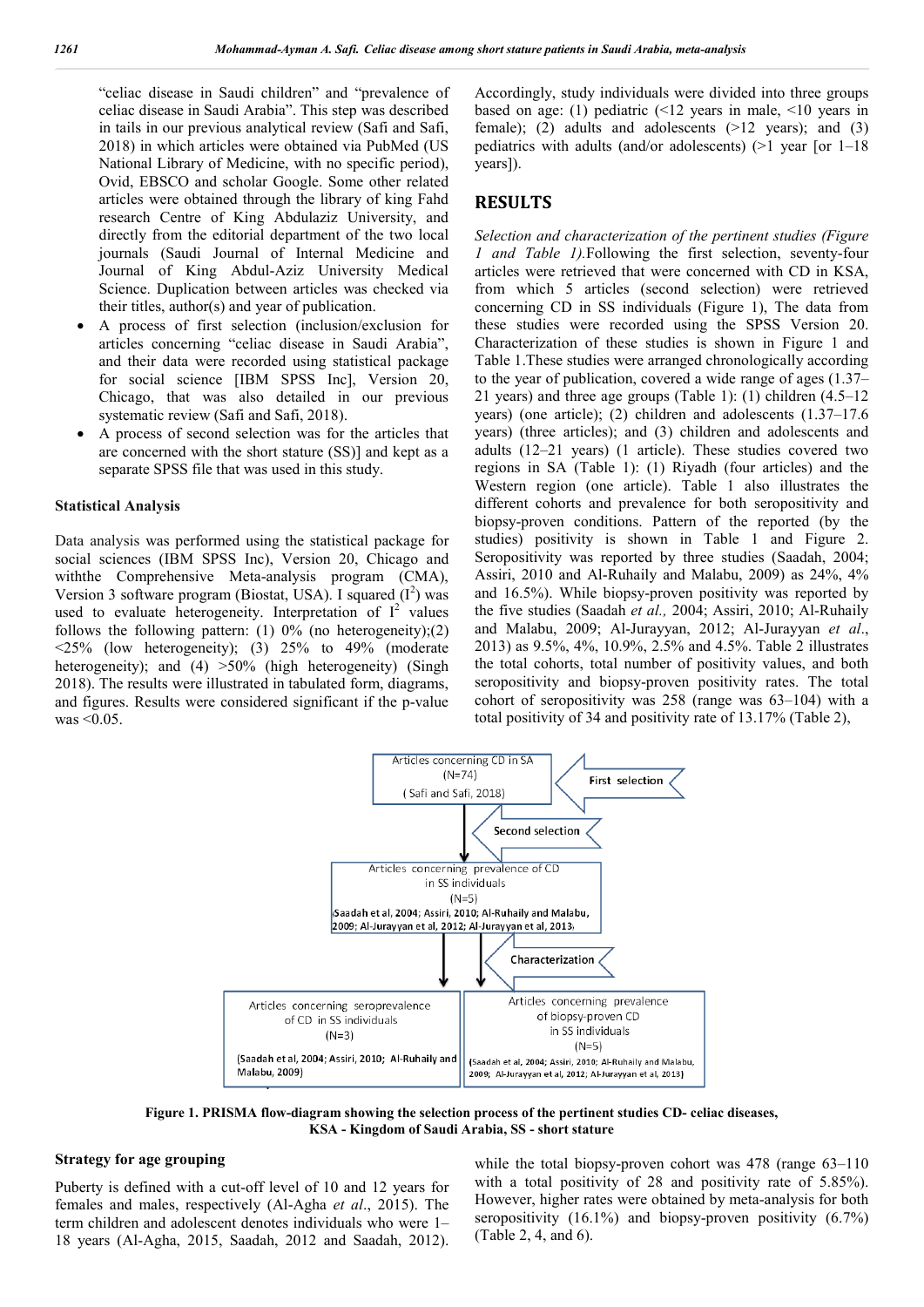"celiac disease in Saudi children" and "prevalence of celiac disease in Saudi Arabia". This step was described in tails in our previous analytical review (Safi and Safi, 2018) in which articles were obtained via PubMed (US National Library of Medicine, with no specific period), Ovid, EBSCO and scholar Google. Some other related articles were obtained through the library of king Fahd research Centre of King Abdulaziz University, and directly from the editorial department of the two local journals (Saudi Journal of Internal Medicine and Journal of King Abdul-Aziz University Medical Science. Duplication between articles was checked via their titles, author(s) and year of publication.

- A process of first selection (inclusion/exclusion for articles concerning "celiac disease in Saudi Arabia", and their data were recorded using statistical package for social science [IBM SPSS Inc], Version 20, Chicago, that was also detailed in our previous systematic review (Safi and Safi, 2018).
- A process of second selection was for the articles that are concerned with the short stature (SS)] and kept as a separate SPSS file that was used in this study.

#### **Statistical Analysis**

Data analysis was performed using the statistical package for social sciences (IBM SPSS Inc), Version 20, Chicago and withthe Comprehensive Meta-analysis program (CMA), Version 3 software program (Biostat, USA). I squared  $(I^2)$  was used to evaluate heterogeneity. Interpretation of  $I^2$  values follows the following pattern:  $(1)$  0% (no heterogeneity); $(2)$  $\leq$ 25% (low heterogeneity); (3) 25% to 49% (moderate heterogeneity); and (4) >50% (high heterogeneity) (Singh 2018). The results were illustrated in tabulated form, diagrams, and figures. Results were considered significant if the p-value was  $\leq 0.05$ .

Accordingly, study individuals were divided into three groups based on age: (1) pediatric (<12 years in male, <10 years in female); (2) adults and adolescents  $(>12$  years); and (3) pediatrics with adults (and/or adolescents) (>1 year [or 1–18 years]).

## **RESULTS**

*Selection and characterization of the pertinent studies (Figure 1 and Table 1).*Following the first selection, seventy-four articles were retrieved that were concerned with CD in KSA, from which 5 articles (second selection) were retrieved concerning CD in SS individuals (Figure 1), The data from these studies were recorded using the SPSS Version 20. Characterization of these studies is shown in Figure 1 and Table 1.These studies were arranged chronologically according to the year of publication, covered a wide range of ages (1.37– 21 years) and three age groups (Table 1): (1) children (4.5–12 years) (one article); (2) children and adolescents (1.37–17.6 years) (three articles); and (3) children and adolescents and adults (12–21 years) (1 article). These studies covered two regions in SA (Table 1): (1) Riyadh (four articles) and the Western region (one article). Table 1 also illustrates the different cohorts and prevalence for both seropositivity and biopsy-proven conditions. Pattern of the reported (by the studies) positivity is shown in Table 1 and Figure 2. Seropositivity was reported by three studies (Saadah, 2004; Assiri, 2010 and Al-Ruhaily and Malabu, 2009) as 24%, 4% and 16.5%). While biopsy-proven positivity was reported by the five studies (Saadah *et al.,* 2004; Assiri, 2010; Al-Ruhaily and Malabu, 2009; Al-Jurayyan, 2012; Al-Jurayyan *et al*., 2013) as 9.5%, 4%, 10.9%, 2.5% and 4.5%. Table 2 illustrates the total cohorts, total number of positivity values, and both seropositivity and biopsy-proven positivity rates. The total cohort of seropositivity was 258 (range was 63–104) with a total positivity of 34 and positivity rate of 13.17% (Table 2),



**Figure 1. PRISMA flow-diagram showing the selection process of the pertinent studies CD- celiac diseases, KSA - Kingdom of Saudi Arabia, SS - short stature**

## **Strategy for age grouping**

Puberty is defined with a cut-off level of 10 and 12 years for females and males, respectively (Al-Agha *et al*., 2015). The term children and adolescent denotes individuals who were 1– 18 years (Al-Agha, 2015, Saadah, 2012 and Saadah, 2012). while the total biopsy-proven cohort was 478 (range 63-110) with a total positivity of 28 and positivity rate of 5.85%). However, higher rates were obtained by meta-analysis for both seropositivity (16.1%) and biopsy-proven positivity (6.7%) (Table 2, 4, and 6).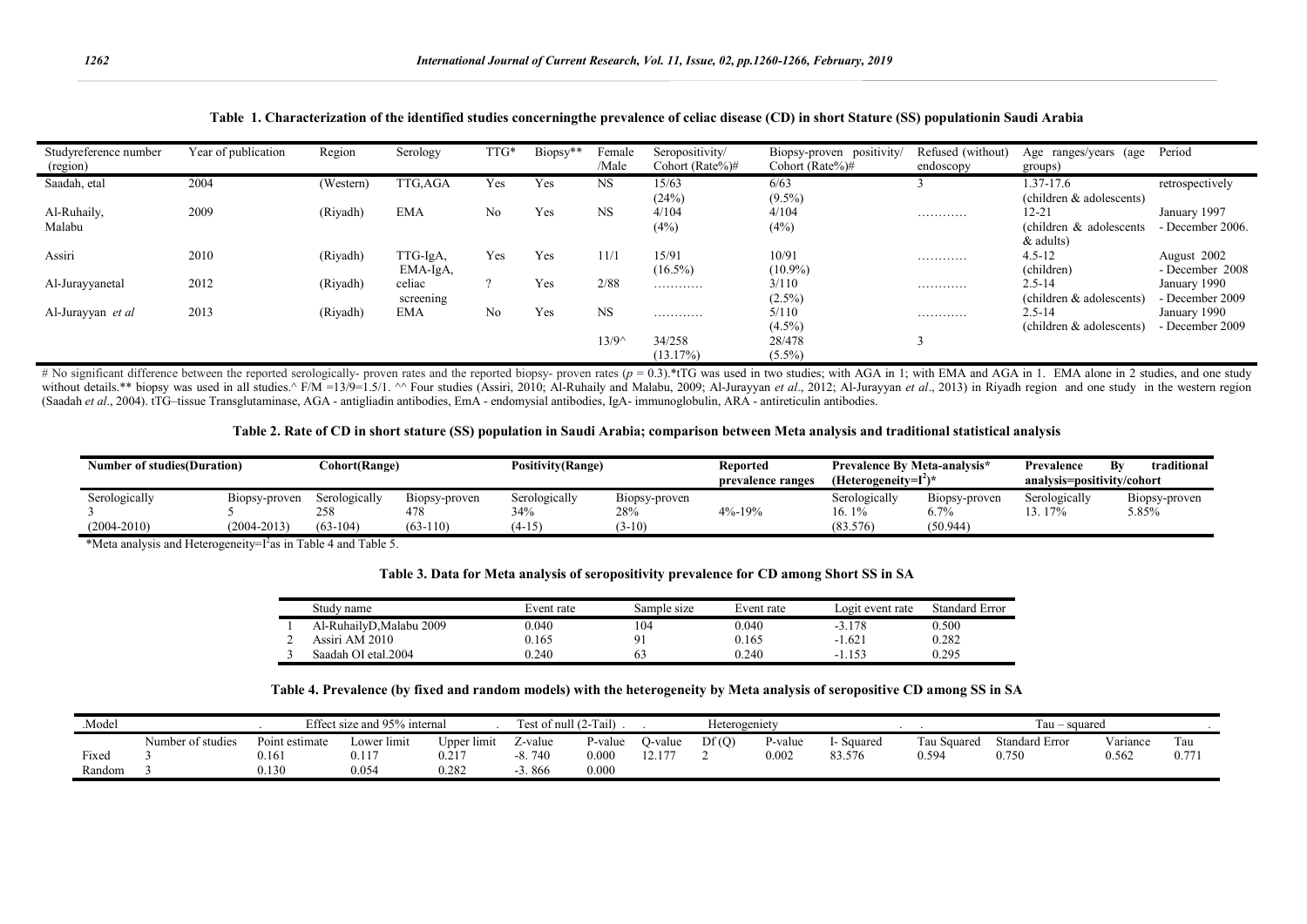| Studyreference number<br>(region) | Year of publication | Region    | Serology   | TTG* | Biopsy** | Female<br>/Male | Seropositivity/<br>Cohort (Rate%)# | Biopsy-proven positivity/<br>Cohort (Rate%)# | Refused (without)<br>endoscopy | Age ranges/years (age<br>groups) | Period           |
|-----------------------------------|---------------------|-----------|------------|------|----------|-----------------|------------------------------------|----------------------------------------------|--------------------------------|----------------------------------|------------------|
| Saadah, etal                      | 2004                | (Western) | TTG,AGA    | Yes  | Yes      | <b>NS</b>       | 15/63                              | 6/63                                         |                                | 1.37-17.6                        | retrospectively  |
|                                   |                     |           |            |      |          |                 | (24%)                              | $(9.5\%)$                                    |                                | (children & adolescents)         |                  |
| Al-Ruhaily,                       | 2009                | (Riyadh)  | <b>EMA</b> | No   | Yes      | <b>NS</b>       | 4/104                              | 4/104                                        | .                              | 12-21                            | January 1997     |
| Malabu                            |                     |           |            |      |          |                 | (4%)                               | (4%)                                         |                                | (children & adolescents)         | - December 2006. |
|                                   |                     |           |            |      |          |                 |                                    |                                              |                                | $&$ adults)                      |                  |
| Assiri                            | 2010                | (Riyadh)  | TTG-IgA,   | Yes  | Yes      | 11/1            | 15/91                              | 10/91                                        | .                              | $4.5 - 12$                       | August 2002      |
|                                   |                     |           | EMA-IgA,   |      |          |                 | $(16.5\%)$                         | $(10.9\%)$                                   |                                | (children)                       | - December 2008  |
| Al-Jurayyanetal                   | 2012                | (Riyadh)  | celiac     |      | Yes      | 2/88            | .                                  | 3/110                                        | .                              | 2.5-14                           | January 1990     |
|                                   |                     |           | screening  |      |          |                 |                                    | $(2.5\%)$                                    |                                | (children & adolescents)         | - December 2009  |
| Al-Jurayyan et al                 | 2013                | (Riyadh)  | <b>EMA</b> | No   | Yes      | <b>NS</b>       | .                                  | 5/110                                        | .                              | $2.5 - 14$                       | January 1990     |
|                                   |                     |           |            |      |          |                 |                                    | $(4.5\%)$                                    |                                | (children & adolescents)         | - December 2009  |
|                                   |                     |           |            |      |          | $13/9^{\circ}$  | 34/258                             | 28/478                                       |                                |                                  |                  |
|                                   |                     |           |            |      |          |                 | (13.17%)                           | $(5.5\%)$                                    |                                |                                  |                  |

## **Table 1. Characterization of the identified studies concerningthe prevalence of celiac disease (CD) in short Stature (SS) populationin Saudi Arabia**

# No significant difference between the reported serologically- proven rates and the reported biopsy- proven rates ( $p = 0.3$ ).\*tTG was used in two studies; with AGA in 1; with EMA and AGA in 1. EMA alone in 2 studies, and without details.\*\* biopsy was used in all studies.^ F/M = 13/9=1.5/1. ^^ Four studies (Assiri, 2010; Al-Ruhaily and Malabu, 2009; Al-Jurayyan et al., 2012; Al-Jurayyan et al., 2013) in Rivadh region and one study in the w (Saadah *et al*., 2004). tTG–tissue Transglutaminase, AGA - antigliadin antibodies, EmA - endomysial antibodies, IgA- immunoglobulin, ARA - antireticulin antibodies.

#### **Table 2. Rate of CD in short stature (SS) population in Saudi Arabia; comparison between Meta analysis and traditional statistical analysis**

|                                  | Cohort(Range)<br><b>Number of studies (Duration)</b>                                                                                                                                                              |                                    | <b>Positivity(Range)</b>           |                                  | <b>Reported</b><br>prevalence ranges | <b>Prevalence By Meta-analysis*</b><br>(Heterogeneity=I <sup>2</sup> )* |                                     | traditional<br>Bv<br>Prevalence<br>analysis=positivity/cohort |                         |                        |
|----------------------------------|-------------------------------------------------------------------------------------------------------------------------------------------------------------------------------------------------------------------|------------------------------------|------------------------------------|----------------------------------|--------------------------------------|-------------------------------------------------------------------------|-------------------------------------|---------------------------------------------------------------|-------------------------|------------------------|
| Serologically<br>$(2004 - 2010)$ | B <sub>10</sub> b <sub>10</sub> b <sub>10</sub> b <sub>10</sub> b <sub>10</sub> b <sub>10</sub> b <sub>10</sub> b <sub>10</sub> b <sub>10</sub> b <sub>10</sub> b <sub>10</sub> b <sub>1</sub><br>$(2004 - 2013)$ | Serologically<br>258<br>$(63-104)$ | Biopsy-proven<br>478<br>$(63-110)$ | Serologically<br>34%<br>$(4-15)$ | Biopsy-proven<br>28%<br>$3-10$       | $4\% - 19\%$                                                            | Serologically<br>16. 1%<br>(83.576) | n.<br>B <sub>1</sub> opsy-proven<br>6.7%<br>(50.944)          | Serologically<br>13.17% | Biopsy-proven<br>5.85% |

\*Meta analysis and Heterogeneity= $I^2$ as in Table 4 and Table 5.

|  |  |  | Table 3. Data for Meta analysis of seropositivity prevalence for CD among Short SS in SA |  |  |  |
|--|--|--|------------------------------------------------------------------------------------------|--|--|--|
|  |  |  |                                                                                          |  |  |  |

| Study name              | Event rate | Sample sıze | Event rate | ogit event rate | Standard Error |
|-------------------------|------------|-------------|------------|-----------------|----------------|
| Al-RuhailyD,Malabu 2009 | 0.040      | 104         | 0.040      | $-3.178$        | 0.500          |
| Assiri AM 2010          | 0.165      | d.          | 0.165      | $-1.621$        | 0.282          |
| Saadah OI etal.2004     | 0.240      |             | 0.240      | . 153<br>- 1    | 0.295          |

## **Table 4. Prevalence (by fixed and random models) with the heterogeneity by Meta analysis of seropositive CD among SS in SA**

| Model. |                      |                | Effect size and 95% internal |                 | Fest of null $(2-Tail)$ |            |                      | Heterogeniety |         |            |              | Tau – squared  |          |       |
|--------|----------------------|----------------|------------------------------|-----------------|-------------------------|------------|----------------------|---------------|---------|------------|--------------|----------------|----------|-------|
|        | Number of<br>studies | Point estimate | ∟ower lımıt                  | Upper<br>⊤lımı† | ∠-value                 | $v$ -value | )-value              | Df(Q)         | '-value | I- Squared | l'au Squared | Standard Error | Variance | Tau   |
| Fixec  |                      | 0.161          | 0.117                        | 0.217           | $-8.740$                | 0.000      | $\sim$ $\sim$ $\sim$ |               | 0.002   | 83.576     | 0.594        | 0.750          | 0.562    | 0.771 |
| Random |                      | 0.130          | 0.054                        | 0.282           | 3.866                   | 0.000      |                      |               |         |            |              |                |          |       |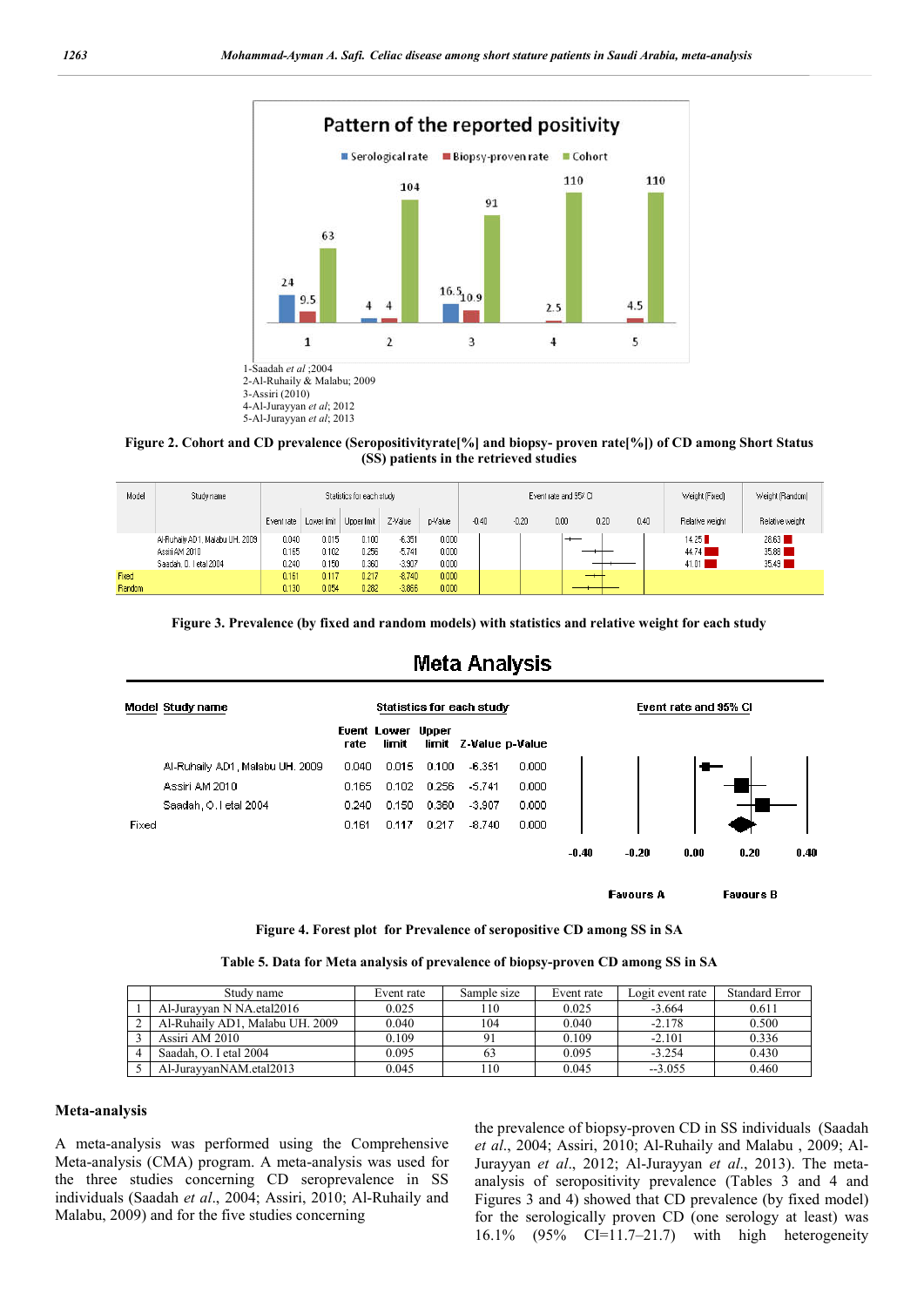

**Figure 2. Cohort and CD prevalence (Seropositivityrate[%] and biopsy- proven rate[%]) of CD among Short Status (SS) patients in the retrieved studies**

| Model  | Study name                      |            |                           | Statistics for each study |          |         |         |         | Event rate and 95% Cl |      |      | Weight (Fixed)  | Weight (Random) |
|--------|---------------------------------|------------|---------------------------|---------------------------|----------|---------|---------|---------|-----------------------|------|------|-----------------|-----------------|
|        |                                 | Event rate | Lower limit   Upper limit |                           | Z-Value  | p-Value | $-0.40$ | $-0.20$ | 0.00                  | 0.20 | 0.40 | Relative weight | Relative weight |
|        | Al-Ruhaily AD1, Malabu UH. 2009 | 0.040      | 0.015                     | 0.100                     | $-6.351$ | 0.000   |         |         |                       |      |      | 14.25           | 28.63           |
|        | Assiri AM 2010                  | 0.165      | 0.102                     | 0.256                     | $-5.741$ | 0.000   |         |         |                       |      |      | 44.74           | 35.88           |
|        | Saadah, O. I etal 2004          | 0.240      | 0.150                     | 0.360                     | $-3.907$ | 0.000   |         |         |                       |      |      | 41.01           | 35.49           |
| Fixed  |                                 | 0.161      | 0.117                     | 0.217                     | $-8.740$ | 0.000   |         |         |                       | $-$  |      |                 |                 |
| Random |                                 | 0.130      | 0.054                     | 0.282                     | $-3.866$ | 0.000   |         |         |                       |      |      |                 |                 |

**Figure 3. Prevalence (by fixed and random models) with statistics and relative weight for each study**



**Favours B** 

**Figure 4. Forest plot for Prevalence of seropositive CD among SS in SA**

|  |  | Table 5. Data for Meta analysis of prevalence of biopsy-proven CD among SS in SA |  |  |
|--|--|----------------------------------------------------------------------------------|--|--|
|  |  |                                                                                  |  |  |

| Study name                      | Event rate | Sample size | Event rate | Logit event rate | <b>Standard Error</b> |
|---------------------------------|------------|-------------|------------|------------------|-----------------------|
| Al-Jurayyan N NA. etal 2016     | 0.025      | 10          | 0.025      | $-3.664$         | 0.611                 |
| Al-Ruhaily AD1, Malabu UH, 2009 | 0.040      | 104         | 0.040      | $-2.178$         | 0.500                 |
| Assiri AM 2010                  | 0.109      |             | 0.109      | $-2.101$         | 0.336                 |
| Saadah, O. I etal 2004          | 0.095      |             | 0.095      | $-3.254$         | 0.430                 |
| Al-JurayyanNAM.etal2013         | 0.045      | $110^{-1}$  | 0.045      | $-3.055$         | 0.460                 |

#### **Meta-analysis**

A meta-analysis was performed using the Comprehensive Meta-analysis (CMA) program. A meta-analysis was used for the three studies concerning CD seroprevalence in SS individuals (Saadah *et al*., 2004; Assiri, 2010; Al-Ruhaily and Malabu, 2009) and for the five studies concerning

the prevalence of biopsy-proven CD in SS individuals (Saadah *et al*., 2004; Assiri, 2010; Al-Ruhaily and Malabu , 2009; Al-Jurayyan *et al*., 2012; Al-Jurayyan *et al*., 2013). The metaanalysis of seropositivity prevalence (Tables 3 and 4 and Figures 3 and 4) showed that CD prevalence (by fixed model) for the serologically proven CD (one serology at least) was 16.1% (95% CI=11.7–21.7) with high heterogeneity

**Favours A** 

# **Meta Analysis**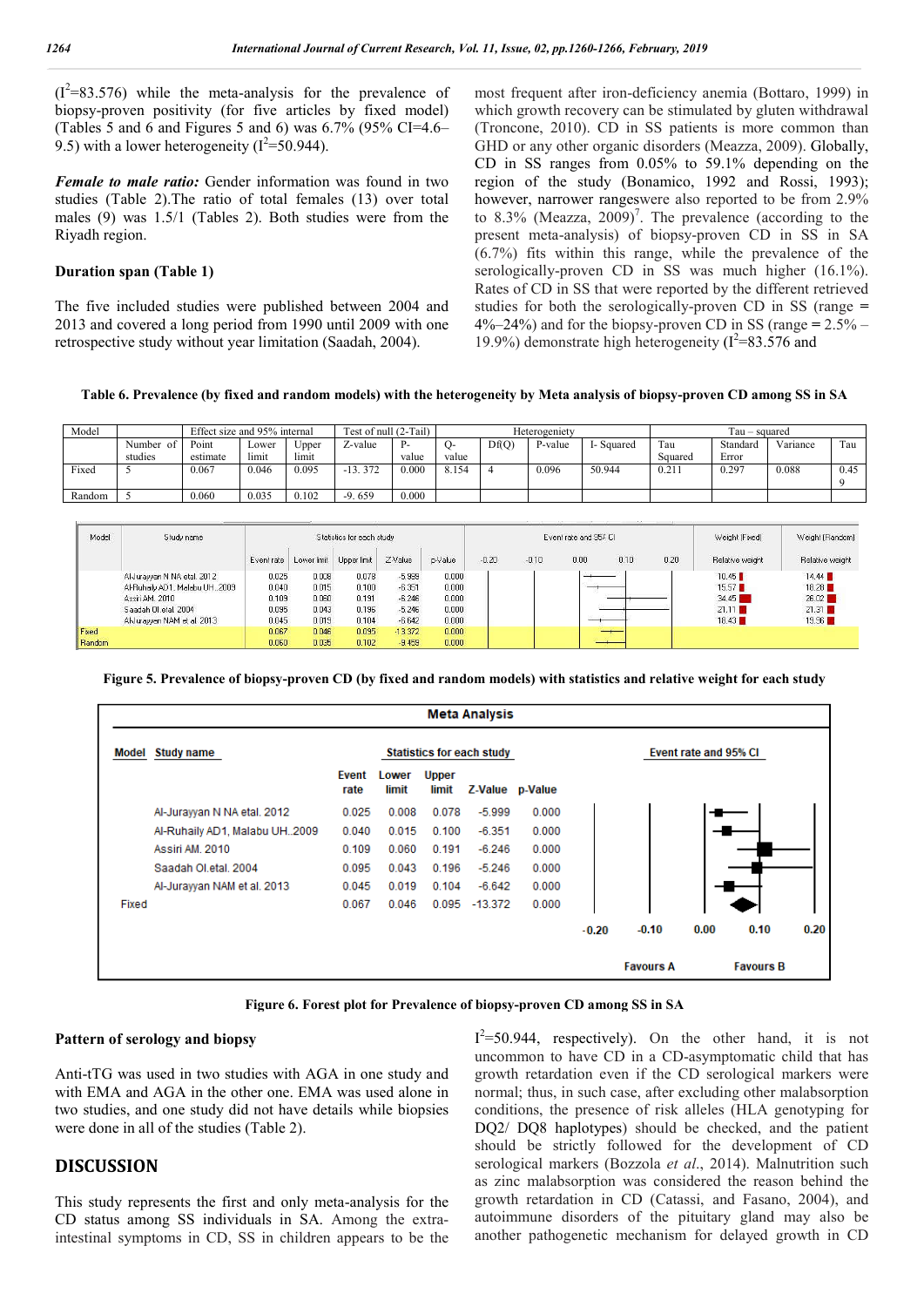$(I^2=83.576)$  while the meta-analysis for the prevalence of biopsy-proven positivity (for five articles by fixed model) (Tables 5 and 6 and Figures 5 and 6) was  $6.7\%$  (95% CI=4.6– 9.5) with a lower heterogeneity ( $I^2$ =50.944).

*Female to male ratio:* Gender information was found in two studies (Table 2).The ratio of total females (13) over total males (9) was 1.5/1 (Tables 2). Both studies were from the Riyadh region.

## **Duration span (Table 1)**

The five included studies were published between 2004 and 2013 and covered a long period from 1990 until 2009 with one retrospective study without year limitation (Saadah, 2004).

most frequent after iron-deficiency anemia (Bottaro, 1999) in which growth recovery can be stimulated by gluten withdrawal (Troncone, 2010). CD in SS patients is more common than GHD or any other organic disorders (Meazza, 2009). Globally, CD in SS ranges from 0.05% to 59.1% depending on the region of the study (Bonamico, 1992 and Rossi, 1993); however, narrower rangeswere also reported to be from 2.9% to 8.3% (Meazza, 2009)<sup>7</sup>. The prevalence (according to the present meta-analysis) of biopsy-proven CD in SS in SA (6.7%) fits within this range, while the prevalence of the serologically-proven CD in SS was much higher (16.1%). Rates of CD in SS that were reported by the different retrieved studies for both the serologically-proven CD in SS (range **=**  4%–24%) and for the biopsy-proven CD in SS (range **=** 2.5% – 19.9%) demonstrate high heterogeneity ( $I^2$ =83.576 and

**Table 6. Prevalence (by fixed and random models) with the heterogeneity by Meta analysis of biopsy-proven CD among SS in SA**

| Model  |           | Effect size and 95% internal |       |       | Test of null (2-Tail) |           |       |       | Heterogeniety |            |         | Tau – squared |          |      |
|--------|-----------|------------------------------|-------|-------|-----------------------|-----------|-------|-------|---------------|------------|---------|---------------|----------|------|
|        | Number of | Point                        | Lower | Upper | $\angle$ -value       | <b>P.</b> |       | Df(Q) | P-value       | I- Squared | Tau     | Standard      | Variance | Tau  |
|        | studies   | estimate                     | limit | limit |                       | value     | value |       |               |            | Squared | Error         |          |      |
| Fixed  |           | 0.067                        | 0.046 | 0.095 | $-13.372$             | 0.000     | 8.154 |       | 0.096         | 50.944     | 0.211   | 0.297         | 0.088    | 0.45 |
|        |           |                              |       |       |                       |           |       |       |               |            |         |               |          |      |
| Random |           | 0.060                        | 0.035 | 0.102 | $-9.659$              | 0.000     |       |       |               |            |         |               |          |      |

| Model  | Study name                    |            |             | Statistics for each study |           |         |         |         | Event rate and 95% CI |      |      | Weight [Fixed]  | Weight [Random] |
|--------|-------------------------------|------------|-------------|---------------------------|-----------|---------|---------|---------|-----------------------|------|------|-----------------|-----------------|
|        |                               | Event rate | Lower limit | Upper limit               | Z-Value   | p-Value | $-0.20$ | $-0.10$ | 0.00                  | 0.10 | 0.20 | Relative weight | Relative weight |
|        | Al-Jurayyan N NA etal. 2012   | 0.025      | 0.008       | 0.078                     | $-5.999$  | 0.000   |         |         |                       |      |      | 10.45           | 14.44           |
|        | Al-Ruhaily AD1, Malabu UH2009 | 0.040      | 0.015       | 0.100                     | $-6.351$  | 0.000   |         |         |                       |      |      | 15.57           | 18.28           |
|        | Assiri AM, 2010               | 0.109      | 0.060       | 0.191                     | $-6.246$  | 0.000   |         |         |                       |      |      | 34.45           | 26.02           |
|        | Saadah Ol.etal, 2004          | 0.095      | 0.043       | 0.196                     | $-5.246$  | 0.000   |         |         |                       |      |      | 21.11           | 21.31           |
|        | Al-Jurayyan NAM et al. 2013   | 0.045      | 0.019       | 0.104                     | $-6.642$  | 0.000   |         |         |                       |      |      | 18.43           | 19.96           |
| Fixed  |                               | 0.067      | 0.046       | 0.095                     | $-13.372$ | 0.000   |         |         |                       |      |      |                 |                 |
| Random |                               | 0.060      | 0.035       | 0.102                     | $-9.459$  | 0.000   |         |         |                       |      |      |                 |                 |

**Figure 5. Prevalence of biopsy-proven CD (by fixed and random models) with statistics and relative weight for each study**

|       |                               |               |                |                       | <b>Meta Analysis</b>             |       |         |                  |                       |                  |      |
|-------|-------------------------------|---------------|----------------|-----------------------|----------------------------------|-------|---------|------------------|-----------------------|------------------|------|
|       | <b>Model Study name</b>       |               |                |                       | <b>Statistics for each study</b> |       |         |                  | Event rate and 95% CI |                  |      |
|       |                               | Event<br>rate | Lower<br>limit | <b>Upper</b><br>limit | Z-Value p-Value                  |       |         |                  |                       |                  |      |
|       | Al-Jurayyan N NA etal. 2012   | 0.025         | 0.008          | 0.078                 | $-5.999$                         | 0.000 |         |                  |                       |                  |      |
|       | Al-Ruhaily AD1, Malabu UH2009 | 0.040         | 0.015          | 0.100                 | $-6.351$                         | 0.000 |         |                  |                       |                  |      |
|       | Assiri AM, 2010               | 0.109         | 0.060          | 0.191                 | $-6.246$                         | 0.000 |         |                  |                       |                  |      |
|       | Saadah Ol.etal, 2004          | 0.095         | 0.043          | 0.196                 | $-5.246$                         | 0.000 |         |                  |                       |                  |      |
|       | Al-Jurayyan NAM et al. 2013   | 0.045         | 0.019          | 0.104                 | $-6.642$                         | 0.000 |         |                  |                       |                  |      |
| Fixed |                               | 0.067         | 0.046          |                       | 0.095 -13.372                    | 0.000 |         |                  |                       |                  |      |
|       |                               |               |                |                       |                                  |       | $-0.20$ | $-0.10$          | 0.00                  | 0.10             | 0.20 |
|       |                               |               |                |                       |                                  |       |         | <b>Favours A</b> |                       | <b>Favours B</b> |      |

**Figure 6. Forest plot for Prevalence of biopsy-proven CD among SS in SA**

## **Pattern of serology and biopsy**

Anti-tTG was used in two studies with AGA in one study and with EMA and AGA in the other one. EMA was used alone in two studies, and one study did not have details while biopsies were done in all of the studies (Table 2).

## **DISCUSSION**

This study represents the first and only meta-analysis for the CD status among SS individuals in SA. Among the extraintestinal symptoms in CD, SS in children appears to be the

 $I^2$ =50.944, respectively). On the other hand, it is not uncommon to have CD in a CD-asymptomatic child that has growth retardation even if the CD serological markers were normal; thus, in such case, after excluding other malabsorption conditions, the presence of risk alleles (HLA genotyping for DQ2/ DQ8 haplotypes) should be checked, and the patient should be strictly followed for the development of CD serological markers (Bozzola *et al*., 2014). Malnutrition such as zinc malabsorption was considered the reason behind the growth retardation in CD (Catassi, and Fasano, 2004), and autoimmune disorders of the pituitary gland may also be another pathogenetic mechanism for delayed growth in CD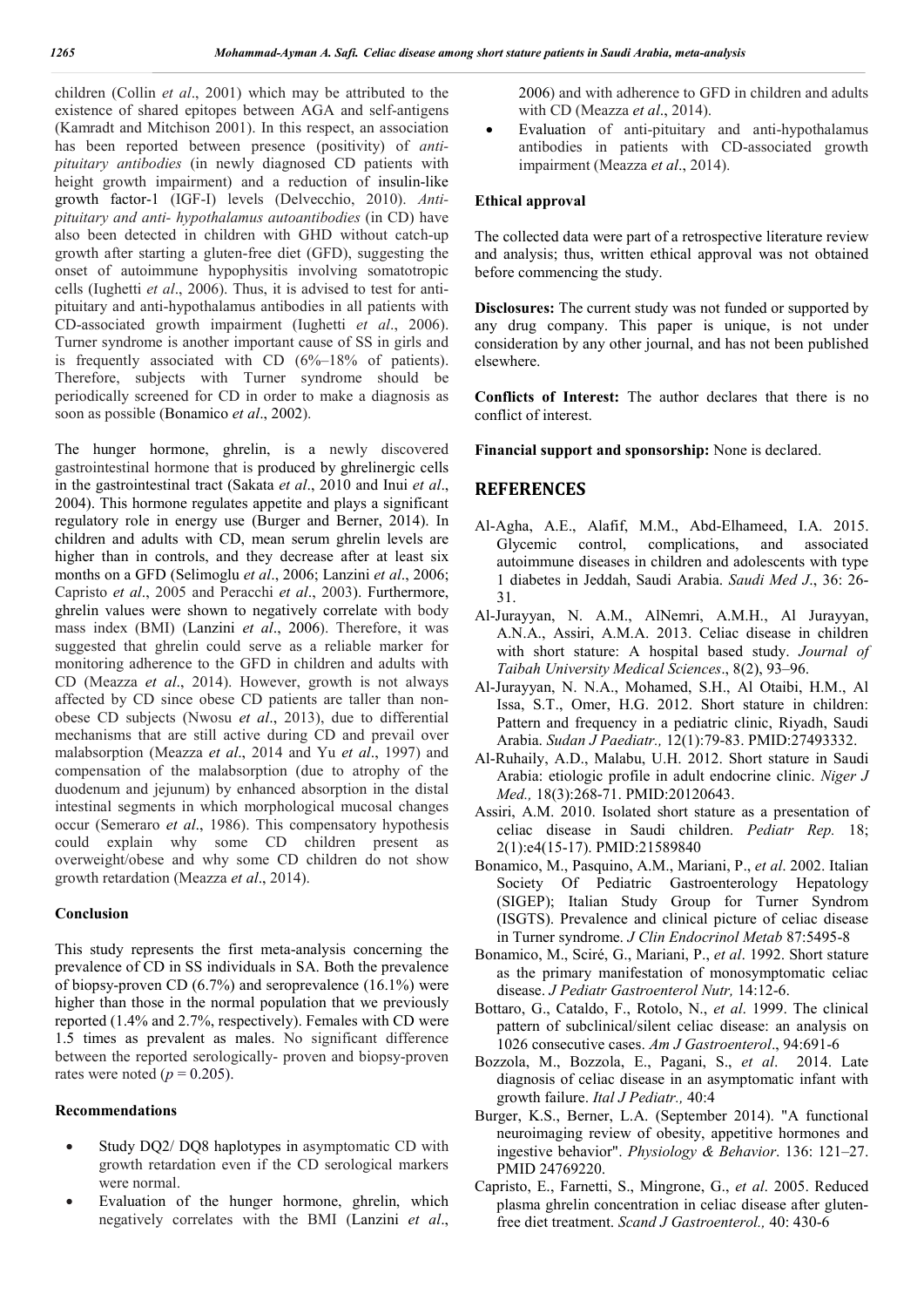children (Collin *et al*., 2001) which may be attributed to the existence of shared epitopes between AGA and self-antigens (Kamradt and Mitchison 2001). In this respect, an association has been reported between presence (positivity) of *antipituitary antibodies* (in newly diagnosed CD patients with height growth impairment) and a reduction of insulin-like growth factor-1 (IGF-I) levels (Delvecchio, 2010). *Antipituitary and anti- hypothalamus autoantibodies* (in CD) have also been detected in children with GHD without catch-up growth after starting a gluten-free diet (GFD), suggesting the onset of autoimmune hypophysitis involving somatotropic cells (Iughetti *et al*., 2006). Thus, it is advised to test for antipituitary and anti-hypothalamus antibodies in all patients with CD-associated growth impairment (Iughetti *et al*., 2006). Turner syndrome is another important cause of SS in girls and is frequently associated with CD (6%–18% of patients). Therefore, subjects with Turner syndrome should be periodically screened for CD in order to make a diagnosis as soon as possible (Bonamico *et al*., 2002).

The hunger hormone, ghrelin, is a newly discovered gastrointestinal hormone that is produced by ghrelinergic cells in the gastrointestinal tract (Sakata *et al*., 2010 and Inui *et al*., 2004). This hormone regulates appetite and plays a significant regulatory role in energy use (Burger and Berner, 2014). In children and adults with CD, mean serum ghrelin levels are higher than in controls, and they decrease after at least six months on a GFD (Selimoglu *et al*., 2006; Lanzini *et al*., 2006; Capristo *et al*., 2005 and Peracchi *et al*., 2003). Furthermore, ghrelin values were shown to negatively correlate with body mass index (BMI) (Lanzini *et al*., 2006). Therefore, it was suggested that ghrelin could serve as a reliable marker for monitoring adherence to the GFD in children and adults with CD (Meazza *et al*., 2014). However, growth is not always affected by CD since obese CD patients are taller than nonobese CD subjects (Nwosu *et al*., 2013), due to differential mechanisms that are still active during CD and prevail over malabsorption (Meazza *et al*., 2014 and Yu *et al*., 1997) and compensation of the malabsorption (due to atrophy of the duodenum and jejunum) by enhanced absorption in the distal intestinal segments in which morphological mucosal changes occur (Semeraro *et al*., 1986). This compensatory hypothesis could explain why some CD children present as overweight/obese and why some CD children do not show growth retardation (Meazza *et al*., 2014).

## **Conclusion**

This study represents the first meta-analysis concerning the prevalence of CD in SS individuals in SA. Both the prevalence of biopsy-proven CD  $(6.7%)$  and seroprevalence  $(16.1%)$  were higher than those in the normal population that we previously reported (1.4% and 2.7%, respectively). Females with CD were 1.5 times as prevalent as males. No significant difference between the reported serologically- proven and biopsy-proven rates were noted  $(p = 0.205)$ .

## **Recommendations**

- Study DQ2/ DQ8 haplotypes in asymptomatic CD with growth retardation even if the CD serological markers were normal.
- Evaluation of the hunger hormone, ghrelin, which negatively correlates with the BMI (Lanzini *et al*.,

2006) and with adherence to GFD in children and adults with CD (Meazza *et al*., 2014).

 Evaluation of anti-pituitary and anti-hypothalamus antibodies in patients with CD-associated growth impairment (Meazza *et al*., 2014).

## **Ethical approval**

The collected data were part of a retrospective literature review and analysis; thus, written ethical approval was not obtained before commencing the study.

**Disclosures:** The current study was not funded or supported by any drug company. This paper is unique, is not under consideration by any other journal, and has not been published elsewhere.

**Conflicts of Interest:** The author declares that there is no conflict of interest.

**Financial support and sponsorship:** None is declared.

# **REFERENCES**

- Al-Agha, A.E., Alafif, M.M., Abd-Elhameed, I.A. 2015. Glycemic control, complications, and associated autoimmune diseases in children and adolescents with type 1 diabetes in Jeddah, Saudi Arabia. *Saudi Med J*., 36: 26- 31.
- Al-Jurayyan, N. A.M., AlNemri, A.M.H., Al Jurayyan, A.N.A., Assiri, A.M.A. 2013. Celiac disease in children with short stature: A hospital based study. *Journal of Taibah University Medical Sciences*., 8(2), 93–96.
- Al-Jurayyan, N. N.A., Mohamed, S.H., Al Otaibi, H.M., Al Issa, S.T., Omer, H.G. 2012. Short stature in children: Pattern and frequency in a pediatric clinic, Riyadh, Saudi Arabia. *Sudan J Paediatr.,* 12(1):79-83. PMID:27493332.
- Al-Ruhaily, A.D., Malabu, U.H. 2012. Short stature in Saudi Arabia: etiologic profile in adult endocrine clinic. *Niger J Med.,* 18(3):268-71. PMID:20120643.
- Assiri, A.M. 2010. Isolated short stature as a presentation of celiac disease in Saudi children. *Pediatr Rep.* 18; 2(1):e4(15-17). PMID:21589840
- Bonamico, M., Pasquino, A.M., Mariani, P., *et al*. 2002. Italian Society Of Pediatric Gastroenterology Hepatology (SIGEP); Italian Study Group for Turner Syndrom (ISGTS). Prevalence and clinical picture of celiac disease in Turner syndrome. *J Clin Endocrinol Metab* 87:5495-8
- Bonamico, M., Sciré, G., Mariani, P., *et al*. 1992. Short stature as the primary manifestation of monosymptomatic celiac disease. *J Pediatr Gastroenterol Nutr,* 14:12-6.
- Bottaro, G., Cataldo, F., Rotolo, N., *et al*. 1999. The clinical pattern of subclinical/silent celiac disease: an analysis on 1026 consecutive cases. *Am J Gastroenterol*., 94:691-6
- Bozzola, M., Bozzola, E., Pagani, S., *et al*. 2014. Late diagnosis of celiac disease in an asymptomatic infant with growth failure. *Ital J Pediatr.,* 40:4
- Burger, K.S., Berner, L.A. (September 2014). "A functional neuroimaging review of obesity, appetitive hormones and ingestive behavior". *Physiology & Behavior*. 136: 121–27. PMID 24769220.
- Capristo, E., Farnetti, S., Mingrone, G., *et al*. 2005. Reduced plasma ghrelin concentration in celiac disease after glutenfree diet treatment. *Scand J Gastroenterol.,* 40: 430-6